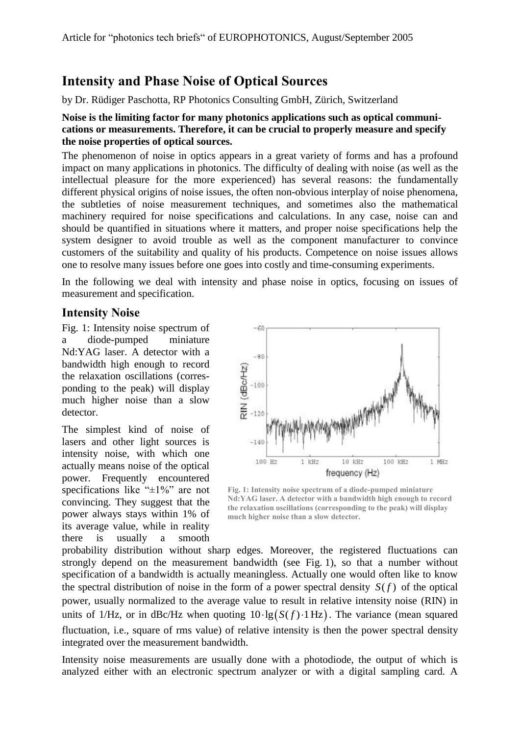## **Intensity and Phase Noise of Optical Sources**

by Dr. Rüdiger Paschotta, RP Photonics Consulting GmbH, Zürich, Switzerland

## **Noise is the limiting factor for many photonics applications such as optical communications or measurements. Therefore, it can be crucial to properly measure and specify the noise properties of optical sources.**

The phenomenon of noise in optics appears in a great variety of forms and has a profound impact on many applications in photonics. The difficulty of dealing with noise (as well as the intellectual pleasure for the more experienced) has several reasons: the fundamentally different physical origins of noise issues, the often non-obvious interplay of noise phenomena, the subtleties of noise measurement techniques, and sometimes also the mathematical machinery required for noise specifications and calculations. In any case, noise can and should be quantified in situations where it matters, and proper noise specifications help the system designer to avoid trouble as well as the component manufacturer to convince customers of the suitability and quality of his products. Competence on noise issues allows one to resolve many issues before one goes into costly and time-consuming experiments.

In the following we deal with intensity and phase noise in optics, focusing on issues of measurement and specification.

## **Intensity Noise**

Fig. 1: Intensity noise spectrum of a diode-pumped miniature Nd:YAG laser. A detector with a bandwidth high enough to record the relaxation oscillations (corresponding to the peak) will display much higher noise than a slow detector.

The simplest kind of noise of lasers and other light sources is intensity noise, with which one actually means noise of the optical power. Frequently encountered specifications like "±1%" are not convincing. They suggest that the power always stays within 1% of its average value, while in reality there is usually a smooth



**Fig. 1: Intensity noise spectrum of a diode-pumped miniature Nd:YAG laser. A detector with a bandwidth high enough to record the relaxation oscillations (corresponding to the peak) will display much higher noise than a slow detector.**

probability distribution without sharp edges. Moreover, the registered fluctuations can strongly depend on the measurement bandwidth (see Fig. 1), so that a number without specification of a bandwidth is actually meaningless. Actually one would often like to know the spectral distribution of noise in the form of a power spectral density  $S(f)$  of the optical power, usually normalized to the average value to result in relative intensity noise (RIN) in units of 1/Hz, or in dBc/Hz when quoting  $10 \cdot \lg(S(f) \cdot 1 \text{ Hz})$ . The variance (mean squared fluctuation, i.e., square of rms value) of relative intensity is then the power spectral density integrated over the measurement bandwidth.

Intensity noise measurements are usually done with a photodiode, the output of which is analyzed either with an electronic spectrum analyzer or with a digital sampling card. A